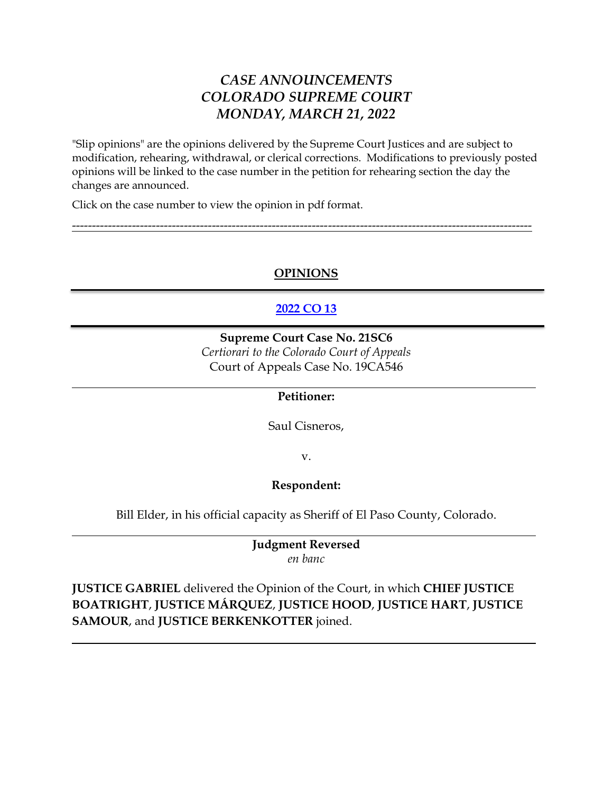## *CASE ANNOUNCEMENTS COLORADO SUPREME COURT MONDAY, MARCH 21, 2022*

"Slip opinions" are the opinions delivered by the Supreme Court Justices and are subject to modification, rehearing, withdrawal, or clerical corrections. Modifications to previously posted opinions will be linked to the case number in the petition for rehearing section the day the changes are announced.

Click on the case number to view the opinion in pdf format.

## **OPINIONS**

-------------------------------------------------------------------------------------------------------------------

## **[2022 CO 13](https://www.courts.state.co.us/userfiles/file/Court_Probation/Supreme_Court/Opinions/2021/21SC6.pdf)**

**Supreme Court Case No. 21SC6** *Certiorari to the Colorado Court of Appeals* Court of Appeals Case No. 19CA546

#### **Petitioner:**

Saul Cisneros,

v.

#### **Respondent:**

Bill Elder, in his official capacity as Sheriff of El Paso County, Colorado.

**Judgment Reversed** *en banc*

**JUSTICE GABRIEL** delivered the Opinion of the Court, in which **CHIEF JUSTICE BOATRIGHT**, **JUSTICE MÁRQUEZ**, **JUSTICE HOOD**, **JUSTICE HART**, **JUSTICE SAMOUR**, and **JUSTICE BERKENKOTTER** joined.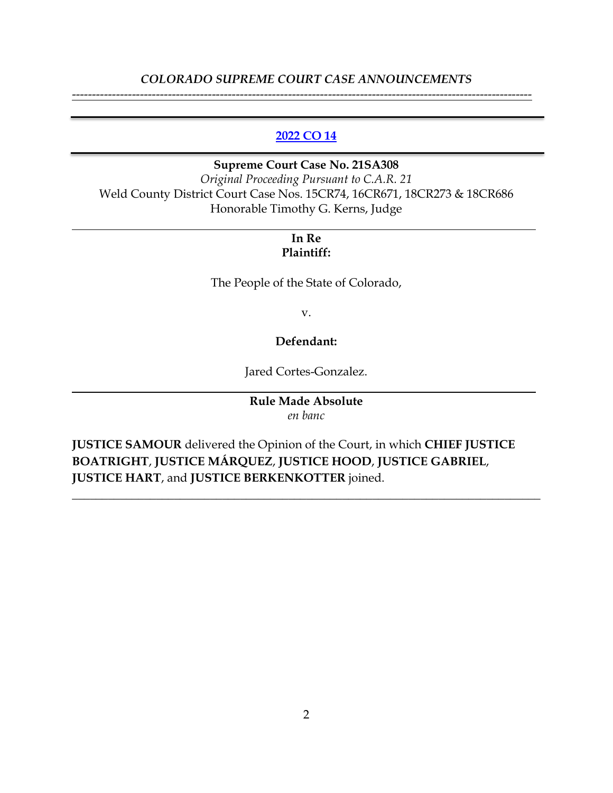#### *COLORADO SUPREME COURT CASE ANNOUNCEMENTS* -------------------------------------------------------------------------------------------------------------------

#### **[2022 CO 14](https://www.courts.state.co.us/userfiles/file/Court_Probation/Supreme_Court/Opinions/2021/21SA308.pdf)**

**Supreme Court Case No. 21SA308** *Original Proceeding Pursuant to C.A.R. 21* Weld County District Court Case Nos. 15CR74, 16CR671, 18CR273 & 18CR686 Honorable Timothy G. Kerns, Judge

## **In Re Plaintiff:**

The People of the State of Colorado,

v.

#### **Defendant:**

Jared Cortes-Gonzalez.

#### **Rule Made Absolute** *en banc*

\_\_\_\_\_\_\_\_\_\_\_\_\_\_\_\_\_\_\_\_\_\_\_\_\_\_\_\_\_\_\_\_\_\_\_\_\_\_\_\_\_\_\_\_\_\_\_\_\_\_\_\_\_\_\_\_\_\_\_\_\_\_\_\_\_\_\_\_\_\_\_\_\_\_\_\_\_\_

**JUSTICE SAMOUR** delivered the Opinion of the Court, in which **CHIEF JUSTICE BOATRIGHT**, **JUSTICE MÁRQUEZ**, **JUSTICE HOOD**, **JUSTICE GABRIEL**, **JUSTICE HART**, and **JUSTICE BERKENKOTTER** joined.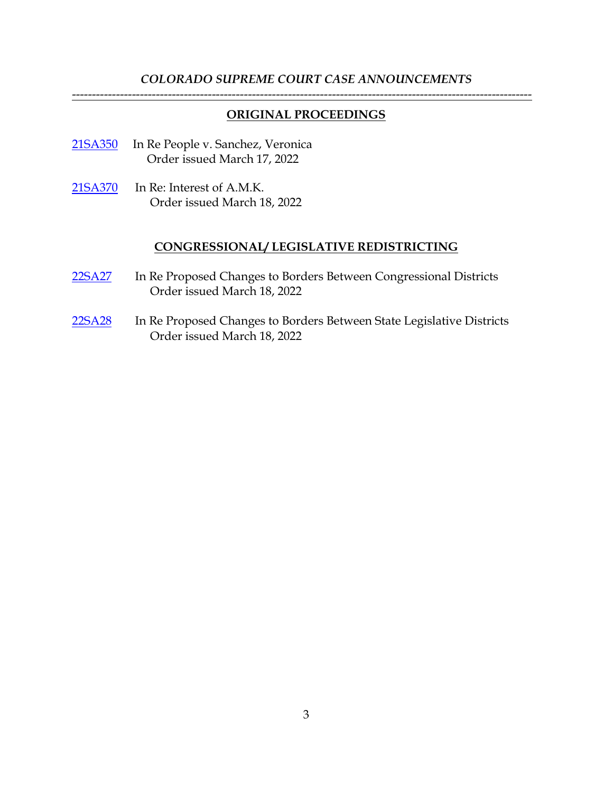#### *COLORADO SUPREME COURT CASE ANNOUNCEMENTS* -------------------------------------------------------------------------------------------------------------------

#### **ORIGINAL PROCEEDINGS**

- [21SA350](https://www.courts.state.co.us/Courts/Supreme_Court/Proceedings/Index.cfm) In Re People v. Sanchez, Veronica Order issued March 17, 2022
- [21SA370](https://www.courts.state.co.us/Courts/Supreme_Court/Proceedings/Index.cfm) In Re: Interest of A.M.K. Order issued March 18, 2022

#### **CONGRESSIONAL/ LEGISLATIVE REDISTRICTING**

- [22SA27](https://www.courts.state.co.us/userfiles/file/Court_Probation/Supreme_Court/Redistricting/22SA27/Court%20order%203-18-22.pdf) In Re Proposed Changes to Borders Between Congressional Districts Order issued March 18, 2022
- [22SA28](https://www.courts.state.co.us/userfiles/file/Court_Probation/Supreme_Court/Redistricting/22SA28/Court%20order%203-18-22.pdf) In Re Proposed Changes to Borders Between State Legislative Districts Order issued March 18, 2022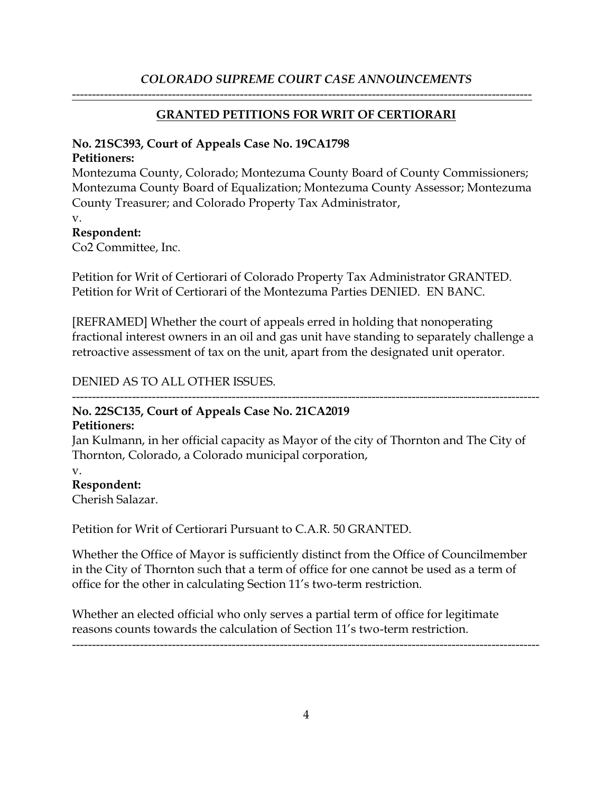### *COLORADO SUPREME COURT CASE ANNOUNCEMENTS*

-------------------------------------------------------------------------------------------------------------------

#### **GRANTED PETITIONS FOR WRIT OF CERTIORARI**

#### **No. 21SC393, Court of Appeals Case No. 19CA1798**

#### **Petitioners:**

Montezuma County, Colorado; Montezuma County Board of County Commissioners; Montezuma County Board of Equalization; Montezuma County Assessor; Montezuma County Treasurer; and Colorado Property Tax Administrator,

v.

### **Respondent:**

Co2 Committee, Inc.

Petition for Writ of Certiorari of Colorado Property Tax Administrator GRANTED. Petition for Writ of Certiorari of the Montezuma Parties DENIED. EN BANC.

[REFRAMED] Whether the court of appeals erred in holding that nonoperating fractional interest owners in an oil and gas unit have standing to separately challenge a retroactive assessment of tax on the unit, apart from the designated unit operator.

DENIED AS TO ALL OTHER ISSUES.

# ---------------------------------------------------------------------------------------------------------------------

#### **No. 22SC135, Court of Appeals Case No. 21CA2019 Petitioners:**

Jan Kulmann, in her official capacity as Mayor of the city of Thornton and The City of Thornton, Colorado, a Colorado municipal corporation,

#### v.

**Respondent:**

Cherish Salazar.

Petition for Writ of Certiorari Pursuant to C.A.R. 50 GRANTED.

Whether the Office of Mayor is sufficiently distinct from the Office of Councilmember in the City of Thornton such that a term of office for one cannot be used as a term of office for the other in calculating Section 11's two-term restriction.

Whether an elected official who only serves a partial term of office for legitimate reasons counts towards the calculation of Section 11's two-term restriction.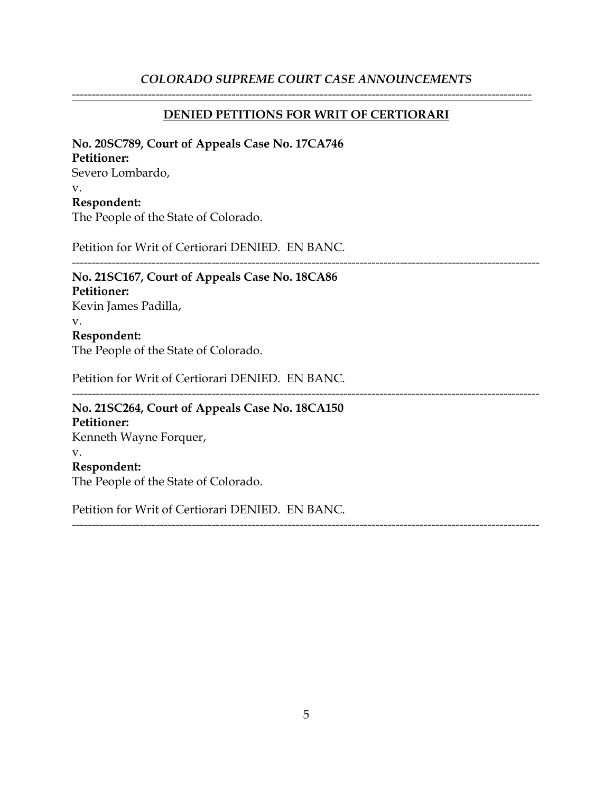### *COLORADO SUPREME COURT CASE ANNOUNCEMENTS*

#### **DENIED PETITIONS FOR WRIT OF CERTIORARI**

-------------------------------------------------------------------------------------------------------------------

#### **No. 20SC789, Court of Appeals Case No. 17CA746**

#### **Petitioner:**

Severo Lombardo,

#### v.

### **Respondent:**

The People of the State of Colorado.

Petition for Writ of Certiorari DENIED. EN BANC.

#### ---------------------------------------------------------------------------------------------------------------------

## **No. 21SC167, Court of Appeals Case No. 18CA86 Petitioner:**

Kevin James Padilla, v.

## **Respondent:**

The People of the State of Colorado.

Petition for Writ of Certiorari DENIED. EN BANC.

#### ---------------------------------------------------------------------------------------------------------------------

---------------------------------------------------------------------------------------------------------------------

## **No. 21SC264, Court of Appeals Case No. 18CA150 Petitioner:** Kenneth Wayne Forquer, v. **Respondent:**

The People of the State of Colorado.

Petition for Writ of Certiorari DENIED. EN BANC.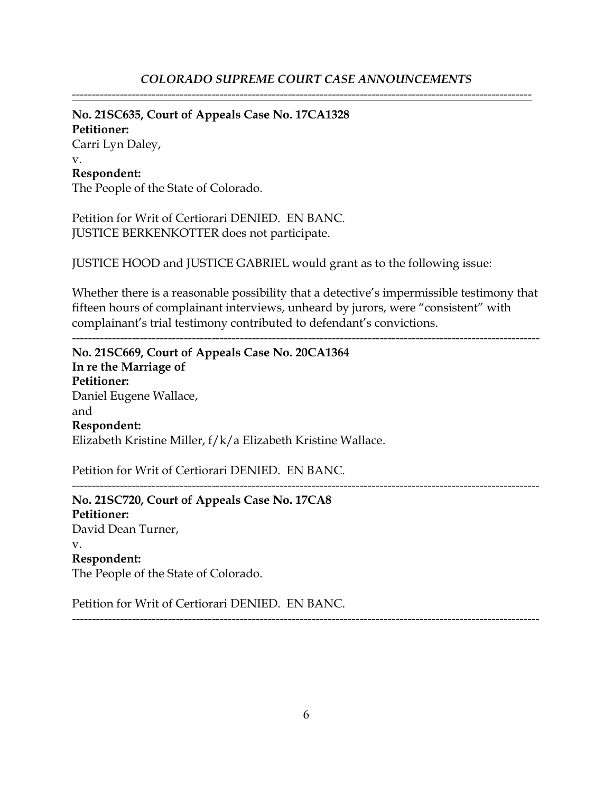**No. 21SC635, Court of Appeals Case No. 17CA1328 Petitioner:**

Carri Lyn Daley, v. **Respondent:**

The People of the State of Colorado.

Petition for Writ of Certiorari DENIED. EN BANC. JUSTICE BERKENKOTTER does not participate.

JUSTICE HOOD and JUSTICE GABRIEL would grant as to the following issue:

Whether there is a reasonable possibility that a detective's impermissible testimony that fifteen hours of complainant interviews, unheard by jurors, were "consistent" with complainant's trial testimony contributed to defendant's convictions.

---------------------------------------------------------------------------------------------------------------------

---------------------------------------------------------------------------------------------------------------------

**No. 21SC669, Court of Appeals Case No. 20CA1364 In re the Marriage of Petitioner:** Daniel Eugene Wallace, and **Respondent:** Elizabeth Kristine Miller, f/k/a Elizabeth Kristine Wallace.

Petition for Writ of Certiorari DENIED. EN BANC.

**No. 21SC720, Court of Appeals Case No. 17CA8 Petitioner:** David Dean Turner, v. **Respondent:** The People of the State of Colorado.

Petition for Writ of Certiorari DENIED. EN BANC.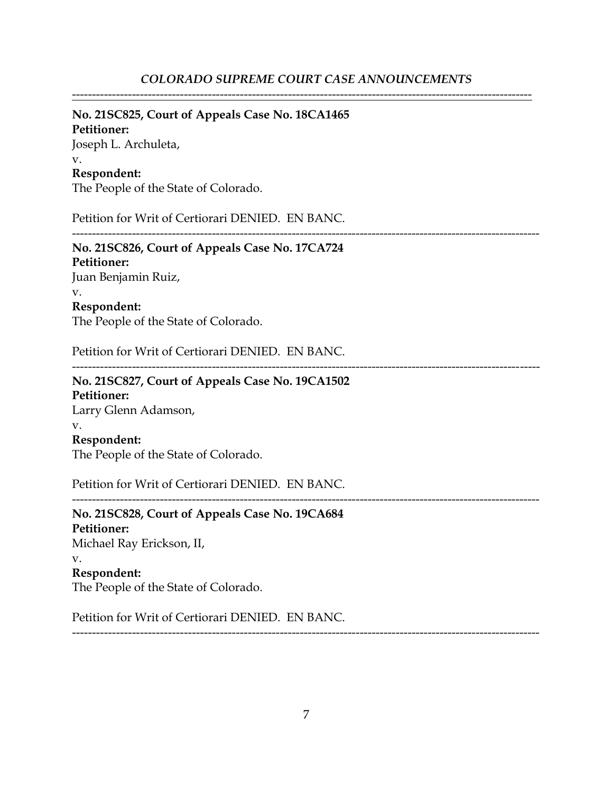#### **No. 21SC825, Court of Appeals Case No. 18CA1465**

**Petitioner:** Joseph L. Archuleta, v. **Respondent:**

The People of the State of Colorado.

Petition for Writ of Certiorari DENIED. EN BANC.

---------------------------------------------------------------------------------------------------------------------

**No. 21SC826, Court of Appeals Case No. 17CA724 Petitioner:** Juan Benjamin Ruiz, v.

**Respondent:** The People of the State of Colorado.

Petition for Writ of Certiorari DENIED. EN BANC.

---------------------------------------------------------------------------------------------------------------------

## **No. 21SC827, Court of Appeals Case No. 19CA1502 Petitioner:** Larry Glenn Adamson, v. **Respondent:**

The People of the State of Colorado.

Petition for Writ of Certiorari DENIED. EN BANC.

---------------------------------------------------------------------------------------------------------------------

**No. 21SC828, Court of Appeals Case No. 19CA684 Petitioner:** Michael Ray Erickson, II, v. **Respondent:**

The People of the State of Colorado.

Petition for Writ of Certiorari DENIED. EN BANC.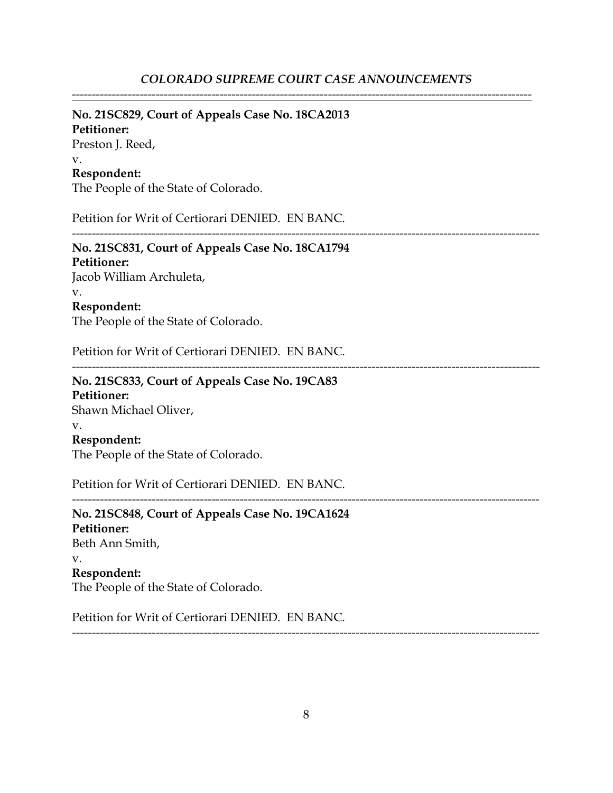## **No. 21SC829, Court of Appeals Case No. 18CA2013**

**Petitioner:** Preston J. Reed, v. **Respondent:**

The People of the State of Colorado.

Petition for Writ of Certiorari DENIED. EN BANC.

---------------------------------------------------------------------------------------------------------------------

# **No. 21SC831, Court of Appeals Case No. 18CA1794**

**Petitioner:** Jacob William Archuleta, v. **Respondent:**

The People of the State of Colorado.

Petition for Writ of Certiorari DENIED. EN BANC.

---------------------------------------------------------------------------------------------------------------------

## **No. 21SC833, Court of Appeals Case No. 19CA83 Petitioner:** Shawn Michael Oliver,

v.

### **Respondent:**

The People of the State of Colorado.

Petition for Writ of Certiorari DENIED. EN BANC.

**No. 21SC848, Court of Appeals Case No. 19CA1624 Petitioner:** Beth Ann Smith, v. **Respondent:** The People of the State of Colorado.

Petition for Writ of Certiorari DENIED. EN BANC.

---------------------------------------------------------------------------------------------------------------------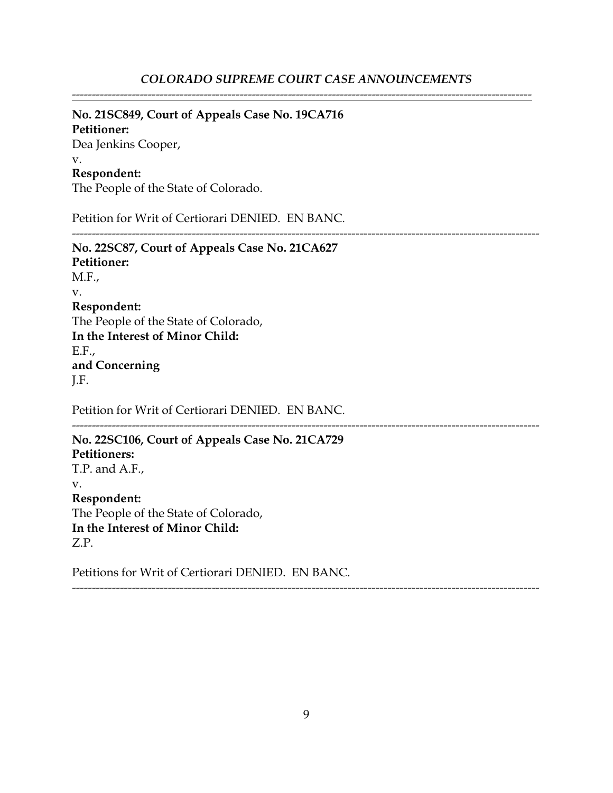---------------------------------------------------------------------------------------------------------------------

-------------------------------------------------------------------------------------------------------------------

#### **No. 21SC849, Court of Appeals Case No. 19CA716**

**Petitioner:** Dea Jenkins Cooper, v. **Respondent:**

The People of the State of Colorado.

Petition for Writ of Certiorari DENIED. EN BANC.

**No. 22SC87, Court of Appeals Case No. 21CA627 Petitioner:** M.F., v. **Respondent:** The People of the State of Colorado, **In the Interest of Minor Child:** E.F., **and Concerning** J.F.

Petition for Writ of Certiorari DENIED. EN BANC.

**No. 22SC106, Court of Appeals Case No. 21CA729 Petitioners:** T.P. and A.F., v. **Respondent:** The People of the State of Colorado, **In the Interest of Minor Child:** Z.P.

Petitions for Writ of Certiorari DENIED. EN BANC.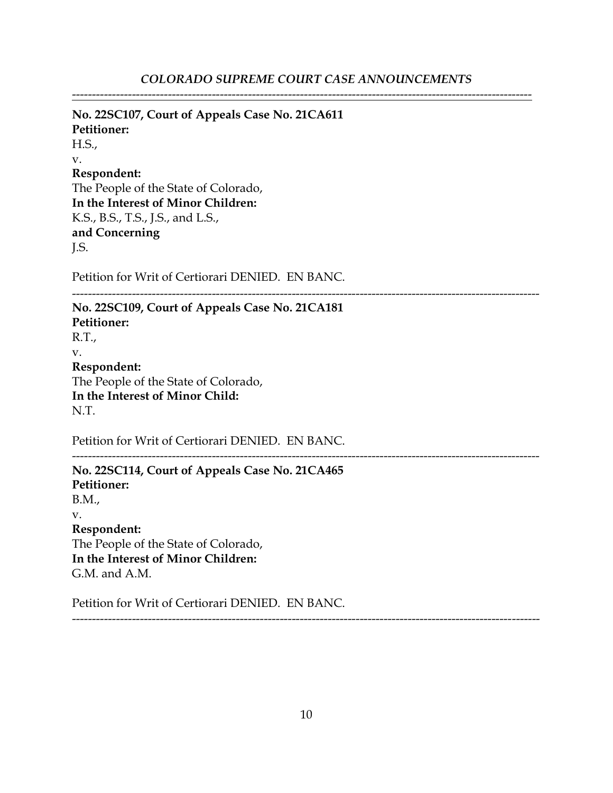---------------------------------------------------------------------------------------------------------------------

---------------------------------------------------------------------------------------------------------------------

**No. 22SC107, Court of Appeals Case No. 21CA611 Petitioner:** H.S., v. **Respondent:** The People of the State of Colorado, **In the Interest of Minor Children:** K.S., B.S., T.S., J.S., and L.S., **and Concerning** J.S.

Petition for Writ of Certiorari DENIED. EN BANC.

**No. 22SC109, Court of Appeals Case No. 21CA181 Petitioner:** R.T., v. **Respondent:** The People of the State of Colorado, **In the Interest of Minor Child:** N.T.

Petition for Writ of Certiorari DENIED. EN BANC.

**No. 22SC114, Court of Appeals Case No. 21CA465 Petitioner:** B.M., v. **Respondent:** The People of the State of Colorado, **In the Interest of Minor Children:** G.M. and A.M.

Petition for Writ of Certiorari DENIED. EN BANC.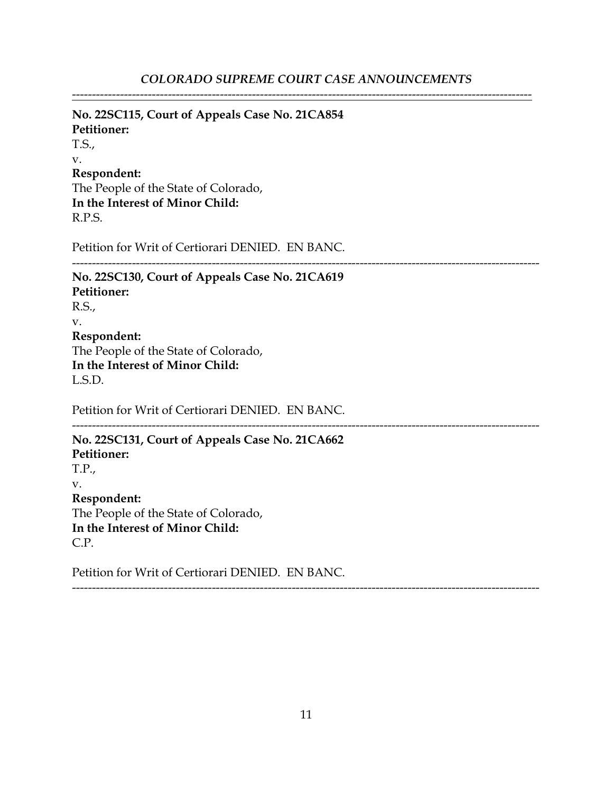---------------------------------------------------------------------------------------------------------------------

**No. 22SC115, Court of Appeals Case No. 21CA854 Petitioner:** T.S., v. **Respondent:** The People of the State of Colorado, **In the Interest of Minor Child:** R.P.S.

Petition for Writ of Certiorari DENIED. EN BANC.

**No. 22SC130, Court of Appeals Case No. 21CA619 Petitioner:** R.S., v. **Respondent:** The People of the State of Colorado, **In the Interest of Minor Child:** L.S.D.

Petition for Writ of Certiorari DENIED. EN BANC.

**No. 22SC131, Court of Appeals Case No. 21CA662 Petitioner:** T.P., v. **Respondent:** The People of the State of Colorado, **In the Interest of Minor Child:** C.P.

Petition for Writ of Certiorari DENIED. EN BANC.